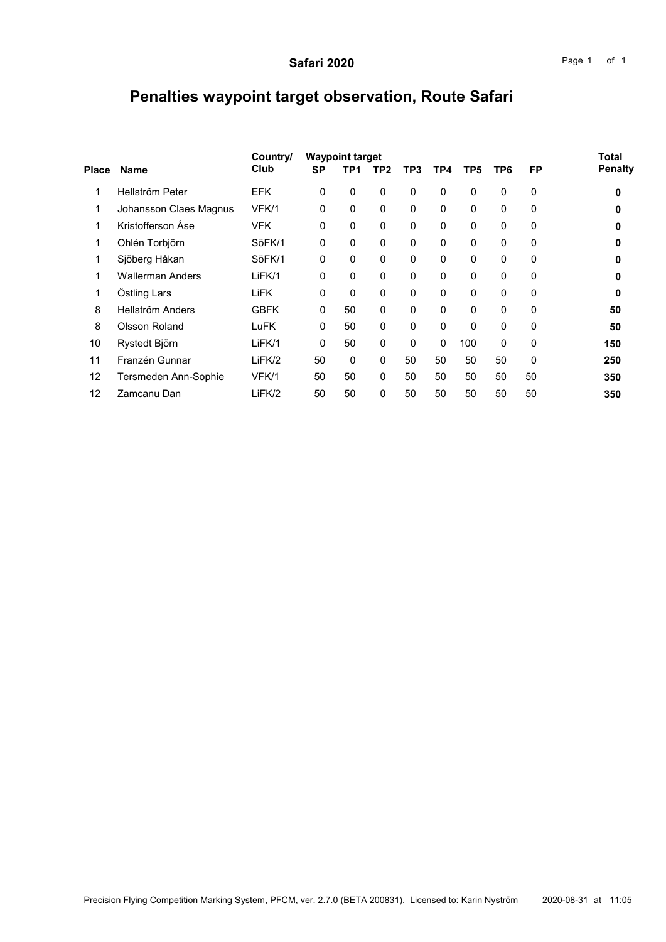## Penalties waypoint target observation, Route Safari

| <b>Name</b>             | Country/    |           | <b>Total</b> |     |                        |          |                 |                 |           |                |
|-------------------------|-------------|-----------|--------------|-----|------------------------|----------|-----------------|-----------------|-----------|----------------|
|                         | Club        | <b>SP</b> | TP1          | TP2 | TP3                    | TP4      | TP <sub>5</sub> | TP <sub>6</sub> | <b>FP</b> | <b>Penalty</b> |
| Hellström Peter         | <b>EFK</b>  | 0         | $\mathbf 0$  | 0   | $\Omega$               | $\Omega$ | $\mathbf{0}$    | $\Omega$        | 0         | 0              |
| Johansson Claes Magnus  | VFK/1       | 0         | $\mathbf 0$  | 0   | $\mathbf 0$            | $\Omega$ | $\mathbf{0}$    | $\Omega$        | 0         | 0              |
| Kristofferson Åse       | <b>VFK</b>  | 0         | $\mathbf 0$  | 0   | 0                      | $\Omega$ | $\Omega$        | 0               | 0         | 0              |
| Ohlén Torbjörn          | SöFK/1      | 0         | $\mathbf 0$  | 0   | $\mathbf 0$            | $\Omega$ | $\mathbf{0}$    | $\Omega$        | 0         | 0              |
| Sjöberg Håkan           | SöFK/1      | $\Omega$  | 0            | 0   | $\Omega$               | $\Omega$ | $\Omega$        | 0               | 0         | O              |
| <b>Wallerman Anders</b> | LiFK/1      | 0         | 0            | 0   | $\mathbf 0$            | $\Omega$ | $\mathbf{0}$    | 0               | 0         | 0              |
| Östling Lars            | <b>LiFK</b> | 0         | 0            | 0   | $\Omega$               | $\Omega$ | $\Omega$        | $\Omega$        | 0         | 0              |
| Hellström Anders        | <b>GBFK</b> | 0         | 50           | 0   | $\mathbf 0$            | $\Omega$ | 0               | 0               | 0         | 50             |
| Olsson Roland           | LuFK        | 0         | 50           | 0   | 0                      | $\Omega$ | $\Omega$        | $\Omega$        | 0         | 50             |
| Rystedt Björn           | LiFK/1      | 0         | 50           | 0   | $\Omega$               | $\Omega$ | 100             | 0               | 0         | 150            |
| Franzén Gunnar          | LiFK/2      | 50        | 0            | 0   | 50                     | 50       | 50              | 50              | 0         | 250            |
| Tersmeden Ann-Sophie    | VFK/1       | 50        | 50           | 0   | 50                     | 50       | 50              | 50              | 50        | 350            |
| Zamcanu Dan             | LiFK/2      | 50        | 50           | 0   | 50                     | 50       | 50              | 50              | 50        | 350            |
| <b>Place</b>            |             |           |              |     | <b>Waypoint target</b> |          |                 |                 |           |                |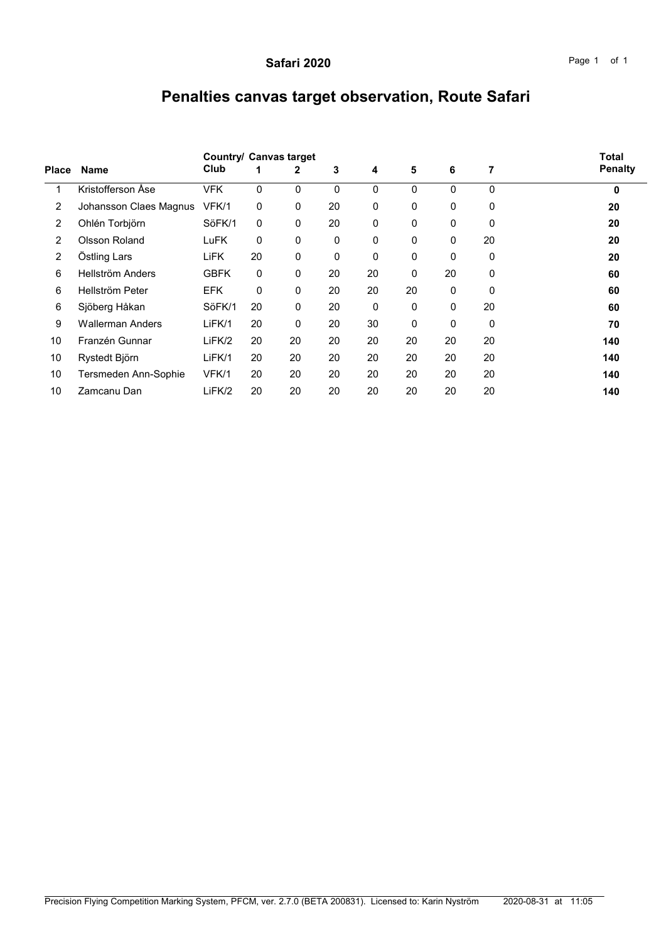## Penalties canvas target observation, Route Safari

|                |                         | <b>Country/ Canvas target</b> | <b>Total</b> |              |    |              |    |    |              |                |
|----------------|-------------------------|-------------------------------|--------------|--------------|----|--------------|----|----|--------------|----------------|
| <b>Place</b>   | <b>Name</b>             | Club                          |              | 2            | 3  | 4            | 5  | 6  | 7            | <b>Penalty</b> |
| 1              | Kristofferson Åse       | <b>VFK</b>                    | 0            | $\mathbf{0}$ | 0  | $\mathbf{0}$ | 0  | 0  | $\mathbf{0}$ | $\bf{0}$       |
| $\overline{2}$ | Johansson Claes Magnus  | VFK/1                         | 0            | $\mathbf{0}$ | 20 | 0            | 0  | 0  | $\Omega$     | 20             |
| $\overline{2}$ | Ohlén Torbjörn          | SöFK/1                        | $\Omega$     | 0            | 20 | $\mathbf{0}$ | 0  | 0  | $\mathbf{0}$ | 20             |
| $\overline{2}$ | <b>Olsson Roland</b>    | LuFK                          | 0            | $\mathbf{0}$ | 0  | $\mathbf{0}$ | 0  | 0  | 20           | 20             |
| $\overline{2}$ | Östling Lars            | LiFK                          | 20           | 0            | 0  | $\mathbf{0}$ | 0  | 0  | $\Omega$     | 20             |
| 6              | Hellström Anders        | <b>GBFK</b>                   | 0            | $\mathbf{0}$ | 20 | 20           | 0  | 20 | $\Omega$     | 60             |
| 6              | Hellström Peter         | <b>EFK</b>                    | 0            | $\mathbf{0}$ | 20 | 20           | 20 | 0  | $\Omega$     | 60             |
| 6              | Sjöberg Håkan           | SöFK/1                        | 20           | $\mathbf{0}$ | 20 | $\mathbf{0}$ | 0  | 0  | 20           | 60             |
| 9              | <b>Wallerman Anders</b> | LiFK/1                        | 20           | 0            | 20 | 30           | 0  | 0  | $\Omega$     | 70             |
| 10             | Franzén Gunnar          | LiFK/2                        | 20           | 20           | 20 | 20           | 20 | 20 | 20           | 140            |
| 10             | Rystedt Björn           | LiFK/1                        | 20           | 20           | 20 | 20           | 20 | 20 | 20           | 140            |
| 10             | Tersmeden Ann-Sophie    | VFK/1                         | 20           | 20           | 20 | 20           | 20 | 20 | 20           | 140            |
| 10             | Zamcanu Dan             | LiFK/2                        | 20           | 20           | 20 | 20           | 20 | 20 | 20           | 140            |